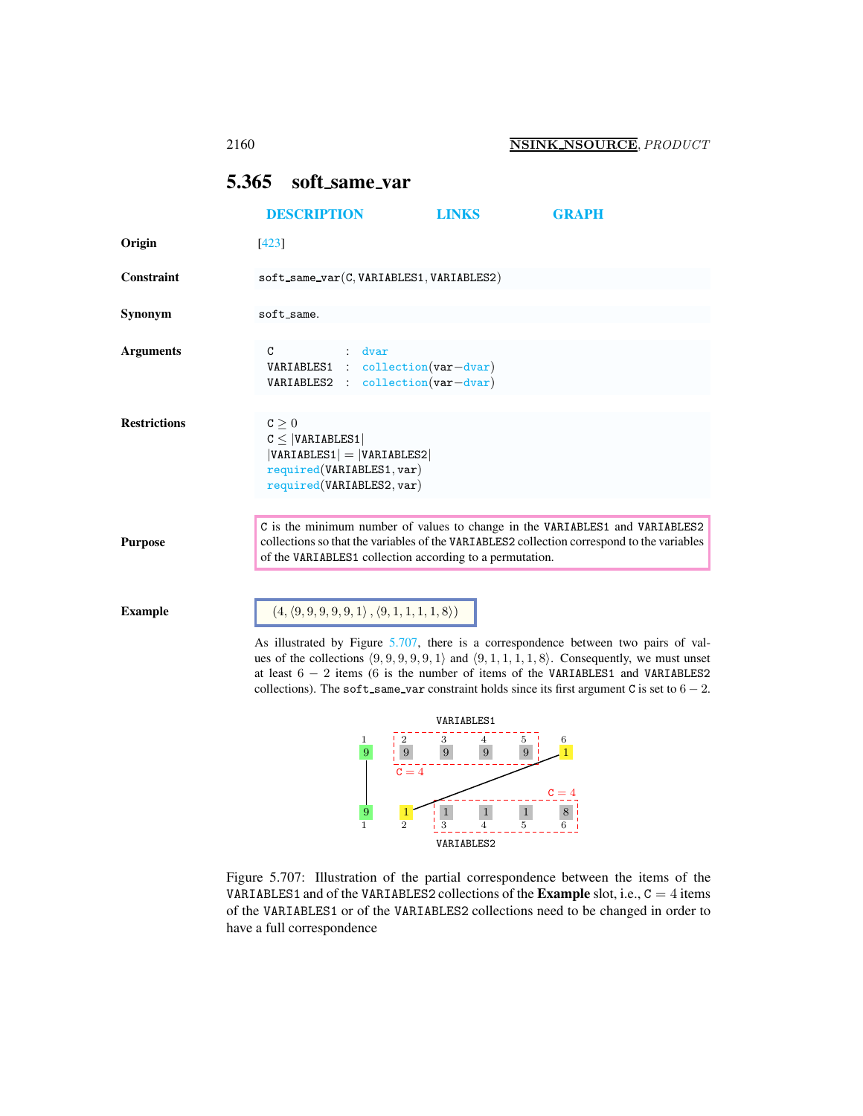# <span id="page-0-0"></span>5.365 soft same var

|                     | <b>DESCRIPTION</b>                                                                                                   |        | <b>LINKS</b>                                                           | <b>GRAPH</b>                                                                                                                                                               |  |
|---------------------|----------------------------------------------------------------------------------------------------------------------|--------|------------------------------------------------------------------------|----------------------------------------------------------------------------------------------------------------------------------------------------------------------------|--|
| Origin              | [423]                                                                                                                |        |                                                                        |                                                                                                                                                                            |  |
| Constraint          |                                                                                                                      |        | $soft\_same\_var(C, VARIABLES1, VARIABLES2)$                           |                                                                                                                                                                            |  |
| Synonym             | soft_same.                                                                                                           |        |                                                                        |                                                                                                                                                                            |  |
| <b>Arguments</b>    | C                                                                                                                    | : dvar | VARIABLES1 : collection(var-dvar)<br>VARIABLES2 : collection(var-dvar) |                                                                                                                                                                            |  |
| <b>Restrictions</b> | c > 0<br>C <  VARTABLES1 <br>$ VARIABLES1  =  VARIABLES2 $<br>required(VARIABLES1, var)<br>required(VARIABLES2, var) |        |                                                                        |                                                                                                                                                                            |  |
| <b>Purpose</b>      |                                                                                                                      |        | of the VARIABLES1 collection according to a permutation.               | C is the minimum number of values to change in the VARIABLES1 and VARIABLES2<br>collections so that the variables of the VARIABLES2 collection correspond to the variables |  |

Example  $(4, (9, 9, 9, 9, 9, 1), (9, 1, 1, 1, 1, 8))$ 

As illustrated by Figure [5.707,](#page-0-1) there is a correspondence between two pairs of values of the collections  $(9, 9, 9, 9, 9, 1)$  and  $(9, 1, 1, 1, 1, 8)$ . Consequently, we must unset at least 6 − 2 items (6 is the number of items of the VARIABLES1 and VARIABLES2 collections). The soft\_same\_var constraint holds since its first argument C is set to  $6 - 2$ .



<span id="page-0-1"></span>Figure 5.707: Illustration of the partial correspondence between the items of the VARIABLES1 and of the VARIABLES2 collections of the **Example** slot, i.e.,  $C = 4$  items of the VARIABLES1 or of the VARIABLES2 collections need to be changed in order to have a full correspondence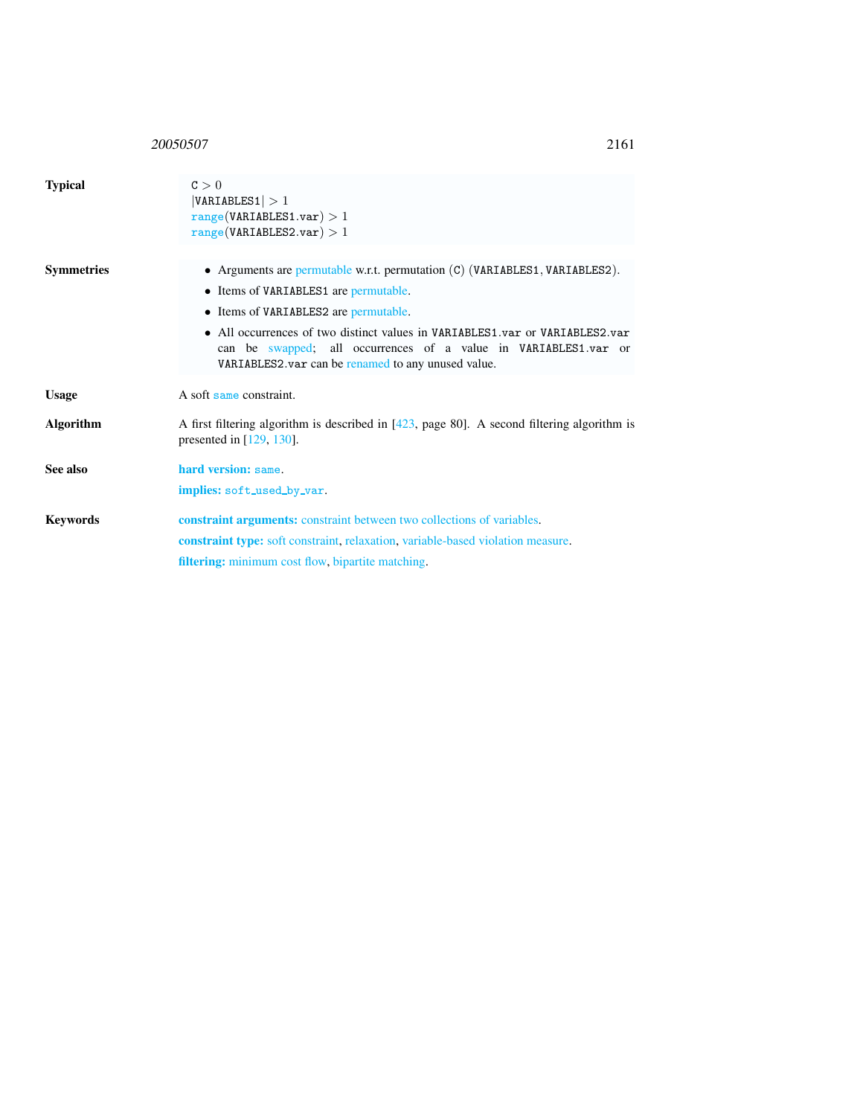## 20050507 2161

<span id="page-1-0"></span>

| <b>Typical</b>    | C > 0<br> VARIABLES1  > 1<br>range(VARIABLES1.var) > 1<br>range(VARIABLES2.var) > 1                                                                                                                                                                                                                                                                                      |  |  |  |
|-------------------|--------------------------------------------------------------------------------------------------------------------------------------------------------------------------------------------------------------------------------------------------------------------------------------------------------------------------------------------------------------------------|--|--|--|
| <b>Symmetries</b> | • Arguments are permutable w.r.t. permutation $(C)$ (VARIABLES1, VARIABLES2).<br>• Items of VARIABLES1 are permutable.<br>• Items of VARIABLES2 are permutable.<br>• All occurrences of two distinct values in VARIABLES1.var or VARIABLES2.var<br>can be swapped; all occurrences of a value in VARIABLES1.var or<br>VARIABLES2.var can be renamed to any unused value. |  |  |  |
| <b>Usage</b>      | A soft same constraint.                                                                                                                                                                                                                                                                                                                                                  |  |  |  |
| <b>Algorithm</b>  | A first filtering algorithm is described in $[423, \text{ page } 80]$ . A second filtering algorithm is<br>presented in $[129, 130]$ .                                                                                                                                                                                                                                   |  |  |  |
| See also          | hard version: same.<br>implies: soft_used_by_var.                                                                                                                                                                                                                                                                                                                        |  |  |  |
| <b>Keywords</b>   | <b>constraint arguments:</b> constraint between two collections of variables.<br>constraint type: soft constraint, relaxation, variable-based violation measure.<br>filtering: minimum cost flow, bipartite matching.                                                                                                                                                    |  |  |  |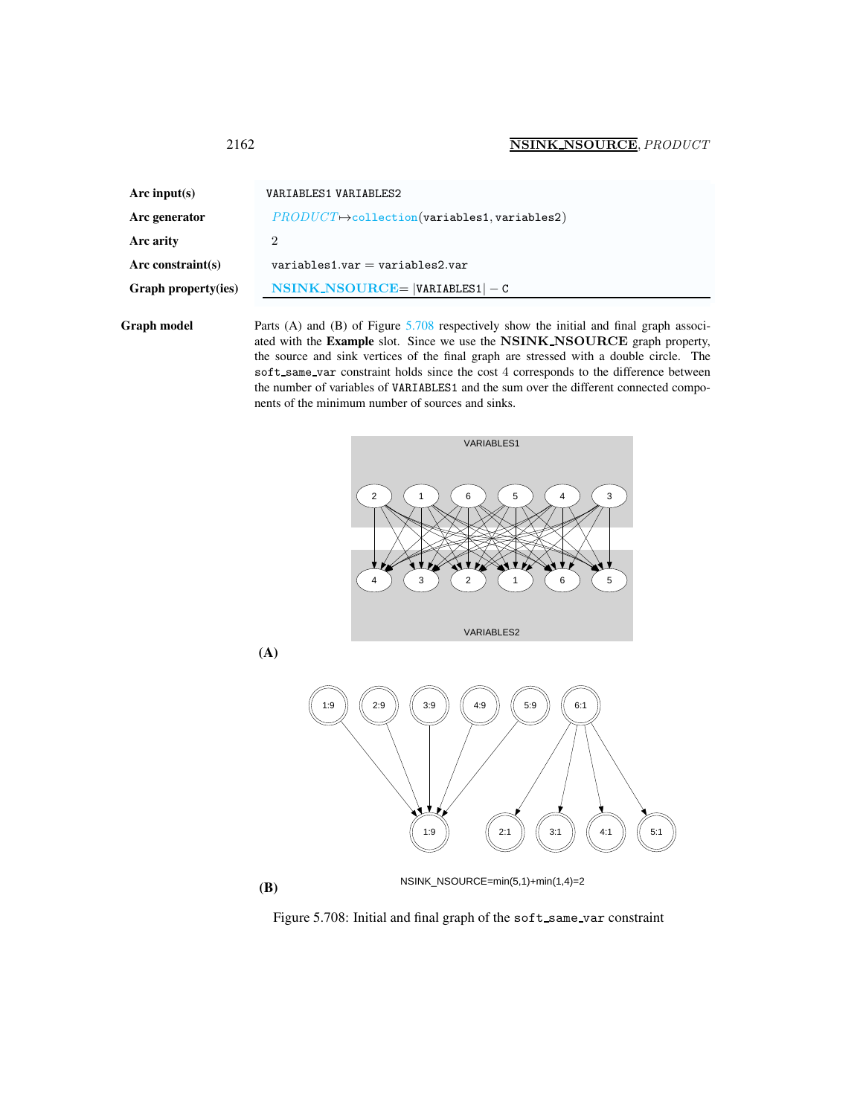<span id="page-2-0"></span>

| Arc input( $s$ )    | VARIABLES1 VARIABLES2                                                                                                                          |
|---------------------|------------------------------------------------------------------------------------------------------------------------------------------------|
| Arc generator       | $PRODUCT \rightarrow collection(variables1, variables2)$                                                                                       |
| Arc arity           | $\overline{2}$                                                                                                                                 |
| Arc constraint(s)   | $variable$ s1.var = variables2.var                                                                                                             |
| Graph property(ies) | $NSINK_NSOURCE =  VARIABLES1  - C$                                                                                                             |
| الملامين بالممك     | $\mathbf{D}_{\text{out}}$ (A) and ( $\mathbf{D}$ ) of $\mathbf{D}_{\text{out}}^*$ (400 noncolorate decrease the initial and final countries of |

Graph model Parts (A) and (B) of Figure [5.708](#page-2-1) respectively show the initial and final graph associated with the Example slot. Since we use the NSINK NSOURCE graph property, the source and sink vertices of the final graph are stressed with a double circle. The soft\_same\_var constraint holds since the cost 4 corresponds to the difference between the number of variables of VARIABLES1 and the sum over the different connected components of the minimum number of sources and sinks.





(A)

(B)  $NSINK\_NSOURCE=min(5,1)+min(1,4)=2$ 

<span id="page-2-1"></span>Figure 5.708: Initial and final graph of the soft\_same\_var constraint